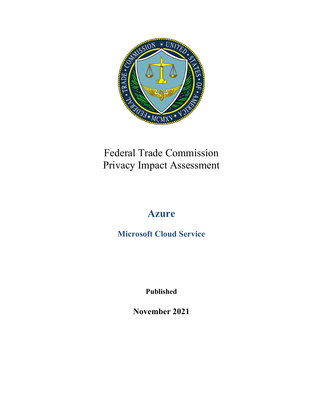

## Federal Trade Commission Privacy Impact Assessment

# **Azure**

**Microsoft Cloud Service**

**Published**

**November 2021**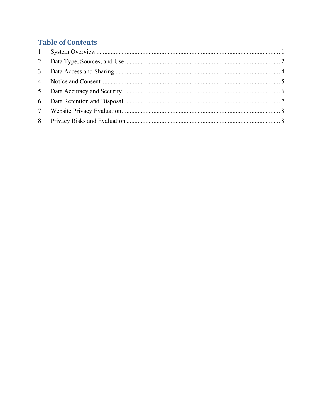## **Table of Contents**

| 5 <sup>5</sup> |  |
|----------------|--|
|                |  |
|                |  |
|                |  |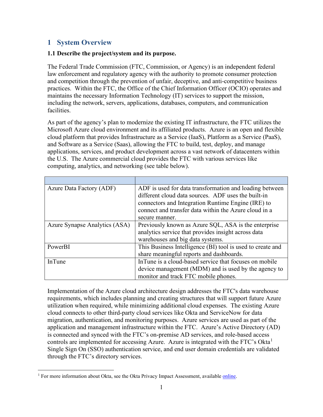## <span id="page-2-0"></span>**1 System Overview**

#### **1.1 Describe the project/system and its purpose.**

The Federal Trade Commission (FTC, Commission, or Agency) is an independent federal law enforcement and regulatory agency with the authority to promote consumer protection and competition through the prevention of unfair, deceptive, and anti-competitive business practices. Within the FTC, the Office of the Chief Information Officer (OCIO) operates and maintains the necessary Information Technology (IT) services to support the mission, including the network, servers, applications, databases, computers, and communication facilities.

As part of the agency's plan to modernize the existing IT infrastructure, the FTC utilizes the Microsoft Azure cloud environment and its affiliated products. Azure is an open and flexible cloud platform that provides Infrastructure as a Service (IaaS), Platform as a Service (PaaS), and Software as a Service (Saas), allowing the FTC to build, test, deploy, and manage applications, services, and product development across a vast network of datacenters within the U.S. The Azure commercial cloud provides the FTC with various services like computing, analytics, and networking (see table below).

| Azure Data Factory (ADF)      | ADF is used for data transformation and loading between    |
|-------------------------------|------------------------------------------------------------|
|                               | different cloud data sources. ADF uses the built-in        |
|                               | connectors and Integration Runtime Engine (IRE) to         |
|                               | connect and transfer data within the Azure cloud in a      |
|                               | secure manner.                                             |
| Azure Synapse Analytics (ASA) | Previously known as Azure SQL, ASA is the enterprise       |
|                               | analytics service that provides insight across data        |
|                               | warehouses and big data systems.                           |
| PowerBI                       | This Business Intelligence (BI) tool is used to create and |
|                               | share meaningful reports and dashboards.                   |
| <b>InTune</b>                 | In Tune is a cloud-based service that focuses on mobile    |
|                               | device management (MDM) and is used by the agency to       |
|                               | monitor and track FTC mobile phones.                       |

Implementation of the Azure cloud architecture design addresses the FTC's data warehouse requirements, which includes planning and creating structures that will support future Azure utilization when required, while minimizing additional cloud expenses. The existing Azure cloud connects to other third-party cloud services like Okta and ServiceNow for data migration, authentication, and monitoring purposes. Azure services are used as part of the application and management infrastructure within the FTC. Azure's Active Directory (AD) is connected and synced with the FTC's on-premise AD services, and role-based access controls are implemented for accessing Azure. Azure is integrated with the FTC's Okta<sup>[1](#page-2-1)</sup> Single Sign On (SSO) authentication service, and end user domain credentials are validated through the FTC's directory services.

<span id="page-2-1"></span> $<sup>1</sup>$  For more information about Okta, see the Okta Privacy Impact Assessment, available [online.](https://www.ftc.gov/site-information/privacy-policy/privacy-impact-assessments)</sup>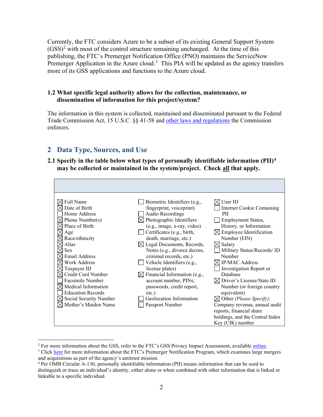Currently, the FTC considers Azure to be a subset of its existing General Support System  $(GSS)^2$  $(GSS)^2$  with most of the control structure remaining unchanged. At the time of this publishing, the FTC's Premerger Notification Office (PNO) maintains the ServiceNow Premerger Application in the Azure cloud.<sup>[3](#page-3-2)</sup> This PIA will be updated as the agency transfers more of its GSS applications and functions to the Azure cloud.

#### **1.2 What specific legal authority allows for the collection, maintenance, or dissemination of information for this project/system?**

The information in this system is collected, maintained and disseminated pursuant to the Federal Trade Commission Act, 15 U.S.C. §§ 41-58 and [other laws and regulations](https://www.ftc.gov/enforcement/statutes) the Commission enforces.

## <span id="page-3-0"></span>**2 Data Type, Sources, and Use**

#### **2.1 Specify in the table below what types of personally identifiable information (PII)[4](#page-3-3) may be collected or maintained in the system/project. Check all that apply.**

| Full Name<br>Date of Birth<br>Home Address<br>$\boxtimes$ Phone Number(s)<br>$\boxtimes$ Place of Birth<br>Age<br>$\times$ Race/ethnicity<br>Alias<br><b>Sex</b><br><b>Email Address</b><br>Work Address<br>Taxpayer ID<br>Credit Card Number<br>Facsimile Number<br>$\boxtimes$ Medical Information<br><b>Education Records</b><br>$\boxtimes$ Social Security Number<br>$\boxtimes$ Mother's Maiden Name | Biometric Identifiers (e.g.,<br>fingerprint, voiceprint)<br>Audio Recordings<br>$\boxtimes$ Photographic Identifiers<br>(e.g., image, x-ray, video)<br>$\Box$ Certificates (e.g., birth,<br>death, marriage, etc.)<br>$\boxtimes$ Legal Documents, Records,<br>Notes (e.g., divorce decree,<br>criminal records, etc.)<br>Vehicle Identifiers (e.g.,<br>license plates)<br>$\boxtimes$ Financial Information (e.g.,<br>account number, PINs,<br>passwords, credit report,<br>$etc.$ )<br>Geolocation Information<br>Passport Number | User ID<br>Internet Cookie Containing<br>PII.<br>Employment Status,<br>History, or Information<br>$\boxtimes$ Employee Identification<br>Number (EIN)<br>$\boxtimes$ Salary<br>Military Status/Records/ ID<br>Number<br>$\boxtimes$ IP/MAC Address<br>Investigation Report or<br>Database<br>$\boxtimes$ Driver's License/State ID<br>Number (or foreign country<br>equivalent)<br>$\boxtimes$ Other (Please Specify):<br>Company revenue, annual audit<br>reports, financial share<br>holdings, and the Central Index<br>Key (CIK) number |
|------------------------------------------------------------------------------------------------------------------------------------------------------------------------------------------------------------------------------------------------------------------------------------------------------------------------------------------------------------------------------------------------------------|-------------------------------------------------------------------------------------------------------------------------------------------------------------------------------------------------------------------------------------------------------------------------------------------------------------------------------------------------------------------------------------------------------------------------------------------------------------------------------------------------------------------------------------|--------------------------------------------------------------------------------------------------------------------------------------------------------------------------------------------------------------------------------------------------------------------------------------------------------------------------------------------------------------------------------------------------------------------------------------------------------------------------------------------------------------------------------------------|

<span id="page-3-1"></span><sup>&</sup>lt;sup>2</sup> For more information about the GSS, refer to the FTC's GSS Privacy Impact Assessment, available <u>online</u>.  $3$  Click [here](https://www.ftc.gov/enforcement/premerger-notification-program) for more information about the FTC's Premerger Notification Program, which examines large merger

<span id="page-3-2"></span>and acquisitions as part of the agency's antitrust mission.<br><sup>4</sup> Per OMB Circular A-130, personally identifiable information (PII) means information that can be used to

<span id="page-3-3"></span>distinguish or trace an individual's identity, either alone or when combined with other information that is linked or linkable to a specific individual.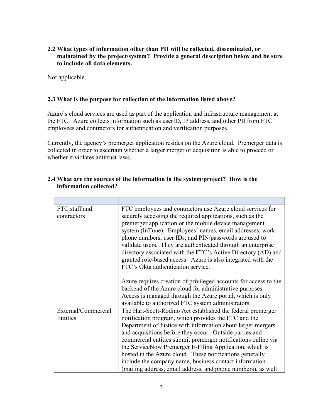**2.2 What types of information other than PII will be collected, disseminated, or maintained by the project/system? Provide a general description below and be sure to include all data elements.**

Not applicable.

#### **2.3 What is the purpose for collection of the information listed above?**

Azure's cloud services are used as part of the application and infrastructure management at the FTC. Azure collects information such as userID, IP address, and other PII from FTC employees and contractors for authentication and verification purposes.

Currently, the agency's premerger application resides on the Azure cloud. Premerger data is collected in order to ascertain whether a larger merger or acquisition is able to proceed or whether it violates antitrust laws.

| FTC staff and<br>contractors    | FTC employees and contractors use Azure cloud services for<br>securely accessing the required applications, such as the<br>premerger application or the mobile device management<br>system (InTune). Employees' names, email addresses, work<br>phone numbers, user IDs, and PIN/passwords are used to<br>validate users. They are authenticated through an enterprise<br>directory associated with the FTC's Active Directory (AD) and<br>granted role-based access. Azure is also integrated with the<br>FTC's Okta authentication service.<br>Azure requires creation of privileged accounts for access to the<br>backend of the Azure cloud for administrative purposes.<br>Access is managed through the Azure portal, which is only |
|---------------------------------|-------------------------------------------------------------------------------------------------------------------------------------------------------------------------------------------------------------------------------------------------------------------------------------------------------------------------------------------------------------------------------------------------------------------------------------------------------------------------------------------------------------------------------------------------------------------------------------------------------------------------------------------------------------------------------------------------------------------------------------------|
|                                 | available to authorized FTC system administrators.                                                                                                                                                                                                                                                                                                                                                                                                                                                                                                                                                                                                                                                                                        |
| External/Commercial<br>Entities | The Hart-Scott-Rodino Act established the federal premerger<br>notification program, which provides the FTC and the<br>Department of Justice with information about larger mergers<br>and acquisitions before they occur. Outside parties and<br>commercial entities submit premerger notifications online via<br>the ServiceNow Premerger E-Filing Application, which is<br>hosted in the Azure cloud. These notifications generally<br>include the company name, business contact information<br>(mailing address, email address, and phone numbers), as well                                                                                                                                                                           |

#### **2.4 What are the sources of the information in the system/project? How is the information collected?**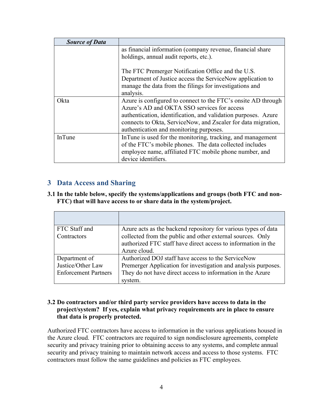| <b>Source of Data</b> |                                                                |
|-----------------------|----------------------------------------------------------------|
|                       | as financial information (company revenue, financial share     |
|                       | holdings, annual audit reports, etc.).                         |
|                       | The FTC Premerger Notification Office and the U.S.             |
|                       | Department of Justice access the ServiceNow application to     |
|                       | manage the data from the filings for investigations and        |
|                       | analysis.                                                      |
| Okta                  | Azure is configured to connect to the FTC's onsite AD through  |
|                       | Azure's AD and OKTA SSO services for access                    |
|                       | authentication, identification, and validation purposes. Azure |
|                       | connects to Okta, ServiceNow, and Zscaler for data migration,  |
|                       | authentication and monitoring purposes.                        |
| <b>InTune</b>         | InTune is used for the monitoring, tracking, and management    |
|                       | of the FTC's mobile phones. The data collected includes        |
|                       | employee name, affiliated FTC mobile phone number, and         |
|                       | device identifiers.                                            |

## <span id="page-5-0"></span>**3 Data Access and Sharing**

#### **3.1 In the table below, specify the systems/applications and groups (both FTC and non-FTC) that will have access to or share data in the system/project.**

| FTC Staff and               | Azure acts as the backend repository for various types of data |
|-----------------------------|----------------------------------------------------------------|
| Contractors                 | collected from the public and other external sources. Only     |
|                             | authorized FTC staff have direct access to information in the  |
|                             | Azure cloud.                                                   |
| Department of               | Authorized DOJ staff have access to the ServiceNow             |
| Justice/Other Law           | Premerger Application for investigation and analysis purposes. |
| <b>Enforcement Partners</b> | They do not have direct access to information in the Azure     |
|                             | system.                                                        |

#### **3.2 Do contractors and/or third party service providers have access to data in the project/system? If yes, explain what privacy requirements are in place to ensure that data is properly protected.**

Authorized FTC contractors have access to information in the various applications housed in the Azure cloud. FTC contractors are required to sign nondisclosure agreements, complete security and privacy training prior to obtaining access to any systems, and complete annual security and privacy training to maintain network access and access to those systems. FTC contractors must follow the same guidelines and policies as FTC employees.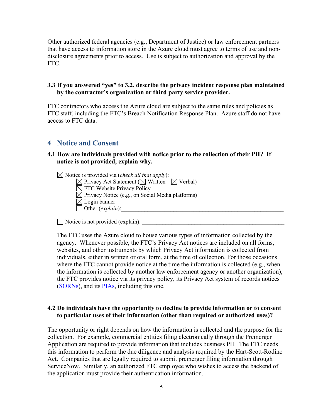Other authorized federal agencies (e.g., Department of Justice) or law enforcement partners that have access to information store in the Azure cloud must agree to terms of use and nondisclosure agreements prior to access. Use is subject to authorization and approval by the FTC.

#### **3.3 If you answered "yes" to 3.2, describe the privacy incident response plan maintained by the contractor's organization or third party service provider.**

FTC contractors who access the Azure cloud are subject to the same rules and policies as FTC staff, including the FTC's Breach Notification Response Plan. Azure staff do not have access to FTC data.

#### <span id="page-6-0"></span>**4 Notice and Consent**

#### **4.1 How are individuals provided with notice prior to the collection of their PII? If notice is not provided, explain why.**

 $\boxtimes$  Notice is provided via (*check all that apply*):  $\boxtimes$  Privacy Act Statement ( $\boxtimes$  Written  $\boxtimes$  Verbal)  $\boxtimes$  FTC Website Privacy Policy  $\boxtimes$  Privacy Notice (e.g., on Social Media platforms)  $\boxtimes$  Login banner  $\Box$  Other (*explain*):

 $\Box$  Notice is not provided (explain):

The FTC uses the Azure cloud to house various types of information collected by the agency. Whenever possible, the FTC's Privacy Act notices are included on all forms, websites, and other instruments by which Privacy Act information is collected from individuals, either in written or oral form, at the time of collection. For those occasions where the FTC cannot provide notice at the time the information is collected (e.g., when the information is collected by another law enforcement agency or another organization), the FTC provides notice via its privacy policy, its Privacy Act system of records notices [\(SORNs\)](https://www.ftc.gov/site-information/privacy-policy/privacy-act-systems), and its **PIAs**, including this one.

#### **4.2 Do individuals have the opportunity to decline to provide information or to consent to particular uses of their information (other than required or authorized uses)?**

The opportunity or right depends on how the information is collected and the purpose for the collection. For example, commercial entities filing electronically through the Premerger Application are required to provide information that includes business PII. The FTC needs this information to perform the due diligence and analysis required by the Hart-Scott-Rodino Act. Companies that are legally required to submit premerger filing information through ServiceNow. Similarly, an authorized FTC employee who wishes to access the backend of the application must provide their authentication information.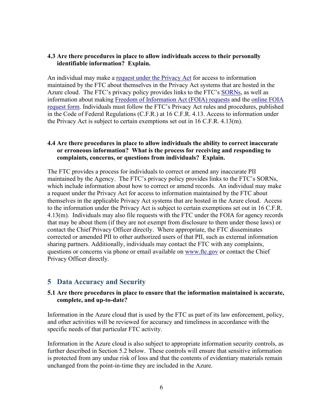#### **4.3 Are there procedures in place to allow individuals access to their personally identifiable information? Explain.**

An individual may make a [request under the Privacy Act](https://www.ftc.gov/about-ftc/foia/make-foia-request) for access to information maintained by the FTC about themselves in the Privacy Act systems that are hosted in the Azure cloud. The FTC's privacy policy provides links to the FTC's [SORNs,](https://www.ftc.gov/site-information/privacy-policy/privacy-act-systems) as well as information about making [Freedom of Information Act \(FOIA\) requests](https://www.ftc.gov/about-ftc/foia/make-foia-request) and the [online FOIA](https://www.ftc.gov/about-ftc/foia/make-foia-request)  [request form.](https://www.ftc.gov/about-ftc/foia/make-foia-request) Individuals must follow the FTC's Privacy Act rules and procedures, published in the Code of Federal Regulations (C.F.R.) at 16 C.F.R. 4.13. Access to information under the Privacy Act is subject to certain exemptions set out in 16 C.F.R. 4.13(m).

#### **4.4 Are there procedures in place to allow individuals the ability to correct inaccurate or erroneous information? What is the process for receiving and responding to complaints, concerns, or questions from individuals? Explain.**

The FTC provides a process for individuals to correct or amend any inaccurate PII maintained by the Agency. The FTC's privacy policy provides links to the FTC's SORNs, which include information about how to correct or amend records. An individual may make a request under the Privacy Act for access to information maintained by the FTC about themselves in the applicable Privacy Act systems that are hosted in the Azure cloud. Access to the information under the Privacy Act is subject to certain exemptions set out in 16 C.F.R. 4.13(m). Individuals may also file requests with the FTC under the FOIA for agency records that may be about them (if they are not exempt from disclosure to them under those laws) or contact the Chief Privacy Officer directly. Where appropriate, the FTC disseminates corrected or amended PII to other authorized users of that PII, such as external information sharing partners. Additionally, individuals may contact the FTC with any complaints, questions or concerns via phone or email available on [www.ftc.gov](http://www.ftc.gov/) or contact the Chief Privacy Officer directly.

#### <span id="page-7-0"></span>**5 Data Accuracy and Security**

#### **5.1 Are there procedures in place to ensure that the information maintained is accurate, complete, and up-to-date?**

Information in the Azure cloud that is used by the FTC as part of its law enforcement, policy, and other activities will be reviewed for accuracy and timeliness in accordance with the specific needs of that particular FTC activity.

Information in the Azure cloud is also subject to appropriate information security controls, as further described in Section 5.2 below. These controls will ensure that sensitive information is protected from any undue risk of loss and that the contents of evidentiary materials remain unchanged from the point-in-time they are included in the Azure.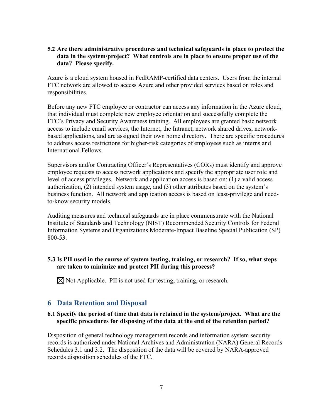#### **5.2 Are there administrative procedures and technical safeguards in place to protect the data in the system/project? What controls are in place to ensure proper use of the data? Please specify.**

Azure is a cloud system housed in FedRAMP-certified data centers. Users from the internal FTC network are allowed to access Azure and other provided services based on roles and responsibilities.

Before any new FTC employee or contractor can access any information in the Azure cloud, that individual must complete new employee orientation and successfully complete the FTC's Privacy and Security Awareness training. All employees are granted basic network access to include email services, the Internet, the Intranet, network shared drives, networkbased applications, and are assigned their own home directory. There are specific procedures to address access restrictions for higher-risk categories of employees such as interns and International Fellows.

Supervisors and/or Contracting Officer's Representatives (CORs) must identify and approve employee requests to access network applications and specify the appropriate user role and level of access privileges. Network and application access is based on: (1) a valid access authorization, (2) intended system usage, and (3) other attributes based on the system's business function. All network and application access is based on least-privilege and needto-know security models.

Auditing measures and technical safeguards are in place commensurate with the National Institute of Standards and Technology (NIST) Recommended Security Controls for Federal Information Systems and Organizations Moderate-Impact Baseline Special Publication (SP) 800-53.

#### **5.3 Is PII used in the course of system testing, training, or research? If so, what steps are taken to minimize and protect PII during this process?**

 $\boxtimes$  Not Applicable. PII is not used for testing, training, or research.

### <span id="page-8-0"></span>**6 Data Retention and Disposal**

#### **6.1 Specify the period of time that data is retained in the system/project. What are the specific procedures for disposing of the data at the end of the retention period?**

Disposition of general technology management records and information system security records is authorized under National Archives and Administration (NARA) General Records Schedules 3.1 and 3.2. The disposition of the data will be covered by NARA-approved records disposition schedules of the FTC.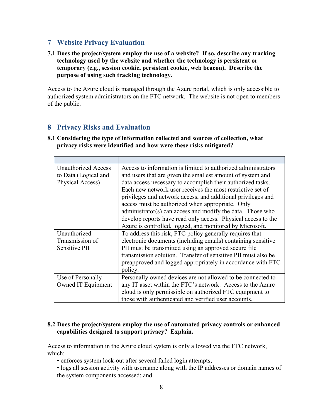### <span id="page-9-0"></span>**7 Website Privacy Evaluation**

**7.1 Does the project/system employ the use of a website? If so, describe any tracking technology used by the website and whether the technology is persistent or temporary (e.g., session cookie, persistent cookie, web beacon). Describe the purpose of using such tracking technology.** 

Access to the Azure cloud is managed through the Azure portal, which is only accessible to authorized system administrators on the FTC network. The website is not open to members of the public.

## <span id="page-9-1"></span>**8 Privacy Risks and Evaluation**

**8.1 Considering the type of information collected and sources of collection, what privacy risks were identified and how were these risks mitigated?** 

| <b>Unauthorized Access</b> | Access to information is limited to authorized administrators |
|----------------------------|---------------------------------------------------------------|
| to Data (Logical and       | and users that are given the smallest amount of system and    |
| Physical Access)           | data access necessary to accomplish their authorized tasks.   |
|                            | Each new network user receives the most restrictive set of    |
|                            | privileges and network access, and additional privileges and  |
|                            | access must be authorized when appropriate. Only              |
|                            | administrator(s) can access and modify the data. Those who    |
|                            | develop reports have read only access. Physical access to the |
|                            | Azure is controlled, logged, and monitored by Microsoft.      |
| Unauthorized               | To address this risk, FTC policy generally requires that      |
| Transmission of            | electronic documents (including emails) containing sensitive  |
| Sensitive PII              | PII must be transmitted using an approved secure file         |
|                            | transmission solution. Transfer of sensitive PII must also be |
|                            | preapproved and logged appropriately in accordance with FTC   |
|                            | policy.                                                       |
| Use of Personally          | Personally owned devices are not allowed to be connected to   |
| Owned IT Equipment         | any IT asset within the FTC's network. Access to the Azure    |
|                            | cloud is only permissible on authorized FTC equipment to      |
|                            | those with authenticated and verified user accounts.          |

#### **8.2 Does the project/system employ the use of automated privacy controls or enhanced capabilities designed to support privacy? Explain.**

Access to information in the Azure cloud system is only allowed via the FTC network, which:

- enforces system lock-out after several failed login attempts;
- logs all session activity with username along with the IP addresses or domain names of the system components accessed; and